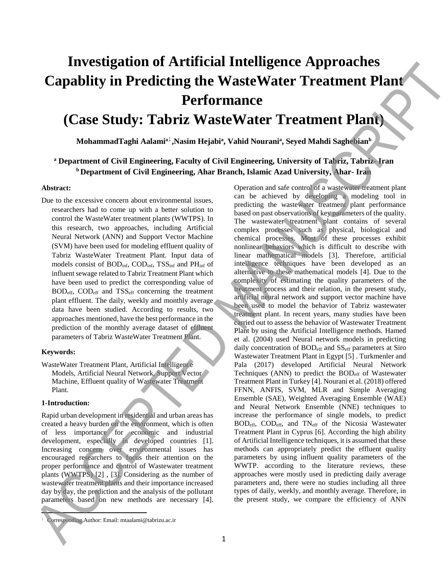# **Investigation of Artificial Intelligence Approaches Capablity in Predicting the WasteWater Treatment Plant Performance**

# **(Case Study: Tabriz WasteWater Treatment Plant)**

 $M$ ohammad $T$ aghi Aalami $^{\rm a1}$ ,Nasim Hejabi $^{\rm a}$ , Vahid Nourani $^{\rm a}$ , Seyed Mahdi Saghebian $^{\rm b}$ 

# **<sup>a</sup> Department of Civil Engineering, Faculty of Civil Engineering, University of Tabriz, Tabriz- Iran <sup>b</sup>Department of Civil Engineering, Ahar Branch, Islamic Azad University, Ahar- Iran**

#### **Abstract:**

Due to the excessive concern about environmental issues, researchers had to come up with a better solution to control the WasteWater treatment plants (WWTPS). In this research, two approaches, including Artificial Neural Network (ANN) and Support Vector Machine (SVM) have been used for modeling effluent quality of Tabriz WasteWater Treatment Plant. Input data of models consist of BODinf, CODinf, TSSinf and PHinf of influent sewage related to Tabriz Treatment Plant which have been used to predict the corresponding value of BODeff, CODeff and TSSeff concerning the treatment plant effluent. The daily, weekly and monthly average data have been studied. According to results, two approaches mentioned, have the best performance in the prediction of the monthly average dataset of effluent parameters of Tabriz WasteWater Treatment Plant.

#### **Keywords:**

WasteWater Treatment Plant, Artificial Intelligence Models, Artificial Neural Network, Support Vector Machine, Effluent quality of Wastewater Treatment Plant.

## **1-Introduction:**

ł

Rapid urban development in residential and urban areas has created a heavy burden on the environment, which is often of less importance for economic and industrial development, especially in developed countries [1]. Increasing concern over environmental issues has encouraged researchers to focus their attention on the proper performance and control of Wastewater treatment plants (WWTPS) [2] , [3]. Considering as the number of wastewater treatment plants and their importance increased day by day, the prediction and the analysis of the pollutant parameters based on new methods are necessary [4].

Operation and safe control of a wastewater treatment plant can be achieved by developing a modeling tool in predicting the wastewater treatment plant performance based on past observations of key parameters of the quality. The wastewater treatment plant contains of several complex processes such as physical, biological and chemical processes. Most of these processes exhibit nonlinear behaviors which is difficult to describe with linear mathematical models [3]. Therefore, artificial intelligence techniques have been developed as an alternative to these mathematical models [4]. Due to the complexity of estimating the quality parameters of the treatment process and their relation, in the present study, artificial neural network and support vector machine have been used to model the behavior of Tabriz wastewater treatment plant. In recent years, many studies have been carried out to assess the behavior of Wastewater Treatment Plant by using the Artificial Intelligence methods. Hamed et al. (2004) used Neural network models in predicting daily concentration of  $BOD<sub>eff</sub>$  and  $SS<sub>eff</sub>$  parameters at Siro Wastewater Treatment Plant in Egypt [5] . Turkmenler and Pala (2017) developed Artificial Neural Network Techniques (ANN) to predict the  $BOD<sub>eff</sub>$  of Wastewater Treatment Plant in Turkey [4]. Nourani et al. (2018) offered FFNN, ANFIS, SVM, MLR and Simple Averaging Ensemble (SAE), Weighted Averaging Ensemble (WAE) and Neural Network Ensemble (NNE) techniques to increase the performance of single models, to predict BODeff, CODeff, and TNeff of the Nicosia Wastewater Treatment Plant in Cyprus [6]. According the high ability of Artificial Intelligence techniques, it is assumed that these methods can appropriately predict the effluent quality parameters by using influent quality parameters of the WWTP. according to the literature reviews, these approaches were mostly used in predicting daily average parameters and, there were no studies including all three types of daily, weekly, and monthly average. Therefore, in Investigation of Artificial Intelligence Approaches<br>
Capability in Predicting the Waste Water Treatment Plant<br>
(Case Study: Tabriz Waste Water Treatment Plant<br>
the memorial of the effective Annuscript Colligions and the e

<sup>1</sup> Corresponding Author: Email: mtaalami@tabrizu.ac.ir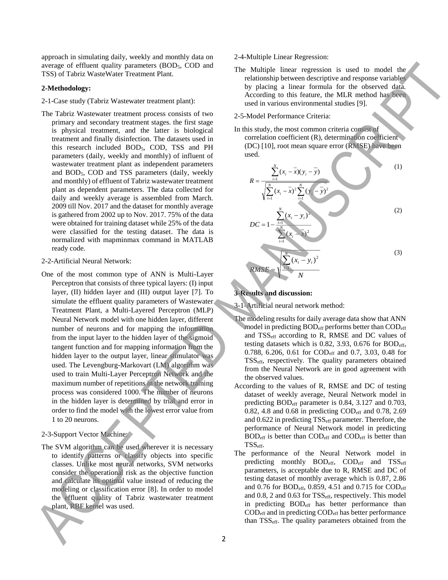approach in simulating daily, weekly and monthly data on average of effluent quality parameters (BOD<sub>5</sub>, COD and TSS) of Tabriz WasteWater Treatment Plant.

#### **2-Methodology:**

- 2-1-Case study (Tabriz Wastewater treatment plant):
- The Tabriz Wastewater treatment process consists of two primary and secondary treatment stages. the first stage is physical treatment, and the latter is biological treatment and finally disinfection. The datasets used in this research included BOD<sub>5</sub>, COD, TSS and PH parameters (daily, weekly and monthly) of influent of wastewater treatment plant as independent parameters and BOD5, COD and TSS parameters (daily, weekly and monthly) of effluent of Tabriz wastewater treatment plant as dependent parameters. The data collected for daily and weekly average is assembled from March. 2009 till Nov. 2017 and the dataset for monthly average is gathered from 2002 up to Nov. 2017. 75% of the data were obtained for training dataset while 25% of the data were classified for the testing dataset. The data is normalized with mapminmax command in MATLAB ready code.
- 2-2-Artificial Neural Network:
- One of the most common type of ANN is Multi-Layer Perceptron that consists of three typical layers: (I) input layer, (II) hidden layer and (III) output layer [7]. To simulate the effluent quality parameters of Wastewater Treatment Plant, a Multi-Layered Perceptron (MLP) Neural Network model with one hidden layer, different number of neurons and for mapping the information from the input layer to the hidden layer of the sigmoid tangent function and for mapping information from the hidden layer to the output layer, linear stimulator was used. The Levengburg-Markovart (LM) algorithm was used to train Multi-Layer Perceptron Network and the maximum number of repetitions in the network training process was considered 1000. The number of neurons in the hidden layer is determined by trial and error in order to find the model with the lowest error value from 1 to 20 neurons. **EXERCISE CONFIDENTIES** (SINCER CONFIDENTIES) **The confidential confident in the confidential confident in the confident in the confident in the confident in the confident in the confident in the confident in the confiden** 
	- 2-3-Support Vector Machine:
	- The SVM algorithm can be used wherever it is necessary to identify patterns or classify objects into specific classes. Unlike most neural networks, SVM networks consider the operational risk as the objective function and calculate its optimal value instead of reducing the modeling or classification error [8]. In order to model the effluent quality of Tabriz wastewater treatment plant, RBF kernel was used.
- 2-4-Multiple Linear Regression:
- The Multiple linear regression is used to model the relationship between descriptive and response variables by placing a linear formula for the observed data. According to this feature, the MLR method has been used in various environmental studies [9].
- 2-5-Model Performance Criteria:
- In this study, the most common criteria consist of correlation coefficient (R), determination coefficient (DC) [10], root mean square error (RMSE) have been used.



#### **3-Results and discussion:**

3-1-Artificial neural network method:

- The modeling results for daily average data show that ANN model in predicting  $BOD<sub>eff</sub>$  performs better than  $COD<sub>eff</sub>$ and TSSeff according to R, RMSE and DC values of testing datasets which is 0.82, 3.93, 0.676 for  $BOD_{\text{eff}}$ , 0.788, 6.206, 0.61 for CODeff and 0.7, 3.03, 0.48 for TSSeff, respectively. The quality parameters obtained from the Neural Network are in good agreement with the observed values.
- According to the values of R, RMSE and DC of testing dataset of weekly average, Neural Network model in predicting BODeff parameter is 0.84, 3.127 and 0.703, 0.82, 4.8 and 0.68 in predicting  $\text{COD}_{\text{eff}}$  and 0.78, 2.69 and 0.622 in predicting TSS<sub>eff</sub> parameter. Therefore, the performance of Neural Network model in predicting  $BOD<sub>eff</sub>$  is better than  $COD<sub>eff</sub>$  and  $COD<sub>eff</sub>$  is better than TSSeff.
- The performance of the Neural Network model in predicting monthly  $BOD_{eff}$ ,  $COD_{eff}$  and  $TSS_{eff}$ parameters, is acceptable due to R, RMSE and DC of testing dataset of monthly average which is 0.87, 2.86 and 0.76 for BOD<sub>eff</sub>, 0.859, 4.51 and 0.715 for COD<sub>eff</sub> and 0.8, 2 and 0.63 for TSS<sub>eff</sub>, respectively. This model in predicting BOD<sub>eff</sub> has better performance than  $\text{COD}_{\text{eff}}$  and in predicting  $\text{COD}_{\text{eff}}$  has better performance